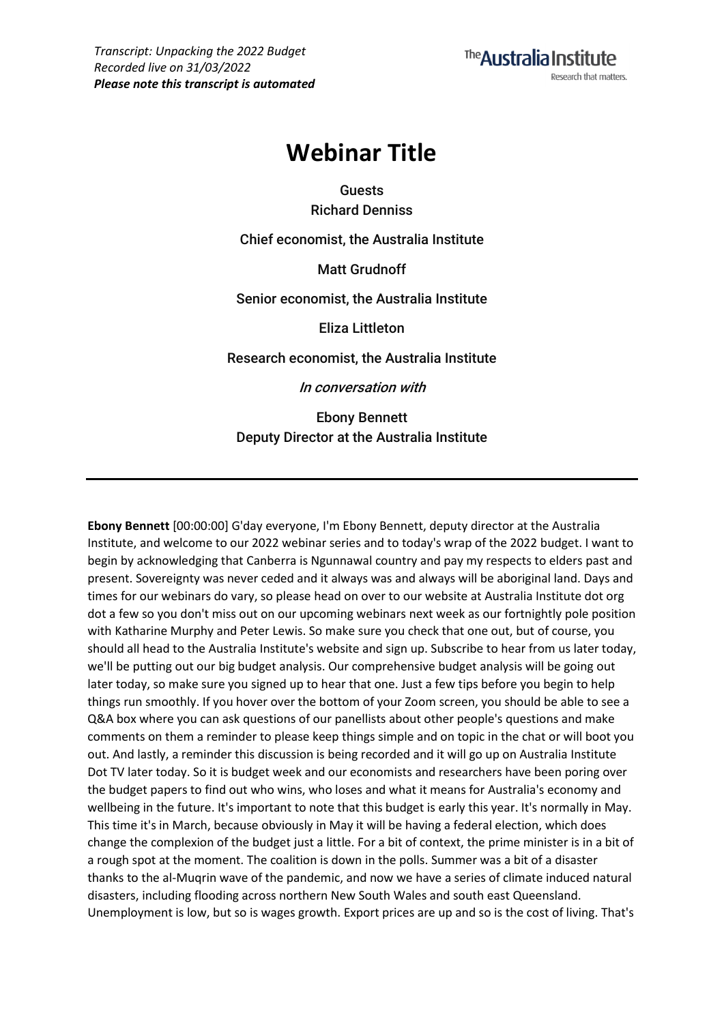The Australia Institute Research that matters.

# **Webinar Title**

**Guests Richard Denniss**

**Chief economist, the Australia Institute**

**Matt Grudnoff**

**Senior economist, the Australia Institute**

**Eliza Littleton**

**Research economist, the Australia Institute**

**In conversation with**

**Ebony Bennett Deputy Director at the Australia Institute**

**Ebony Bennett** [00:00:00] G'day everyone, I'm Ebony Bennett, deputy director at the Australia Institute, and welcome to our 2022 webinar series and to today's wrap of the 2022 budget. I want to begin by acknowledging that Canberra is Ngunnawal country and pay my respects to elders past and present. Sovereignty was never ceded and it always was and always will be aboriginal land. Days and times for our webinars do vary, so please head on over to our website at Australia Institute dot org dot a few so you don't miss out on our upcoming webinars next week as our fortnightly pole position with Katharine Murphy and Peter Lewis. So make sure you check that one out, but of course, you should all head to the Australia Institute's website and sign up. Subscribe to hear from us later today, we'll be putting out our big budget analysis. Our comprehensive budget analysis will be going out later today, so make sure you signed up to hear that one. Just a few tips before you begin to help things run smoothly. If you hover over the bottom of your Zoom screen, you should be able to see a Q&A box where you can ask questions of our panellists about other people's questions and make comments on them a reminder to please keep things simple and on topic in the chat or will boot you out. And lastly, a reminder this discussion is being recorded and it will go up on Australia Institute Dot TV later today. So it is budget week and our economists and researchers have been poring over the budget papers to find out who wins, who loses and what it means for Australia's economy and wellbeing in the future. It's important to note that this budget is early this year. It's normally in May. This time it's in March, because obviously in May it will be having a federal election, which does change the complexion of the budget just a little. For a bit of context, the prime minister is in a bit of a rough spot at the moment. The coalition is down in the polls. Summer was a bit of a disaster thanks to the al-Muqrin wave of the pandemic, and now we have a series of climate induced natural disasters, including flooding across northern New South Wales and south east Queensland. Unemployment is low, but so is wages growth. Export prices are up and so is the cost of living. That's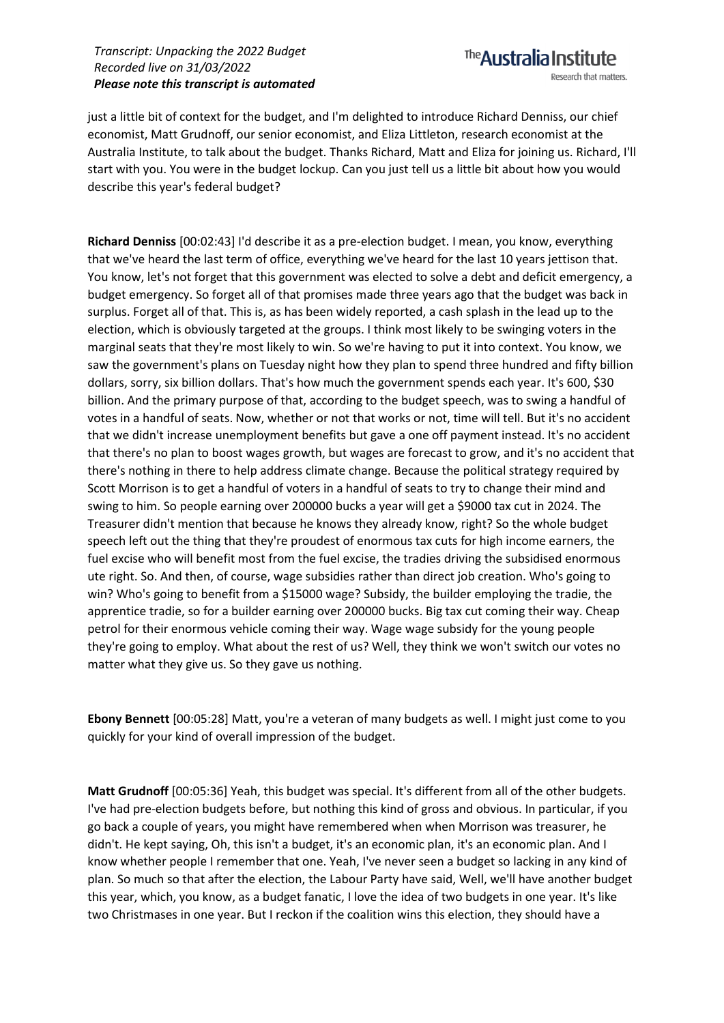The **Australia Institute** Research that matters.

just a little bit of context for the budget, and I'm delighted to introduce Richard Denniss, our chief economist, Matt Grudnoff, our senior economist, and Eliza Littleton, research economist at the Australia Institute, to talk about the budget. Thanks Richard, Matt and Eliza for joining us. Richard, I'll start with you. You were in the budget lockup. Can you just tell us a little bit about how you would describe this year's federal budget?

**Richard Denniss** [00:02:43] I'd describe it as a pre-election budget. I mean, you know, everything that we've heard the last term of office, everything we've heard for the last 10 years jettison that. You know, let's not forget that this government was elected to solve a debt and deficit emergency, a budget emergency. So forget all of that promises made three years ago that the budget was back in surplus. Forget all of that. This is, as has been widely reported, a cash splash in the lead up to the election, which is obviously targeted at the groups. I think most likely to be swinging voters in the marginal seats that they're most likely to win. So we're having to put it into context. You know, we saw the government's plans on Tuesday night how they plan to spend three hundred and fifty billion dollars, sorry, six billion dollars. That's how much the government spends each year. It's 600, \$30 billion. And the primary purpose of that, according to the budget speech, was to swing a handful of votes in a handful of seats. Now, whether or not that works or not, time will tell. But it's no accident that we didn't increase unemployment benefits but gave a one off payment instead. It's no accident that there's no plan to boost wages growth, but wages are forecast to grow, and it's no accident that there's nothing in there to help address climate change. Because the political strategy required by Scott Morrison is to get a handful of voters in a handful of seats to try to change their mind and swing to him. So people earning over 200000 bucks a year will get a \$9000 tax cut in 2024. The Treasurer didn't mention that because he knows they already know, right? So the whole budget speech left out the thing that they're proudest of enormous tax cuts for high income earners, the fuel excise who will benefit most from the fuel excise, the tradies driving the subsidised enormous ute right. So. And then, of course, wage subsidies rather than direct job creation. Who's going to win? Who's going to benefit from a \$15000 wage? Subsidy, the builder employing the tradie, the apprentice tradie, so for a builder earning over 200000 bucks. Big tax cut coming their way. Cheap petrol for their enormous vehicle coming their way. Wage wage subsidy for the young people they're going to employ. What about the rest of us? Well, they think we won't switch our votes no matter what they give us. So they gave us nothing.

**Ebony Bennett** [00:05:28] Matt, you're a veteran of many budgets as well. I might just come to you quickly for your kind of overall impression of the budget.

**Matt Grudnoff** [00:05:36] Yeah, this budget was special. It's different from all of the other budgets. I've had pre-election budgets before, but nothing this kind of gross and obvious. In particular, if you go back a couple of years, you might have remembered when when Morrison was treasurer, he didn't. He kept saying, Oh, this isn't a budget, it's an economic plan, it's an economic plan. And I know whether people I remember that one. Yeah, I've never seen a budget so lacking in any kind of plan. So much so that after the election, the Labour Party have said, Well, we'll have another budget this year, which, you know, as a budget fanatic, I love the idea of two budgets in one year. It's like two Christmases in one year. But I reckon if the coalition wins this election, they should have a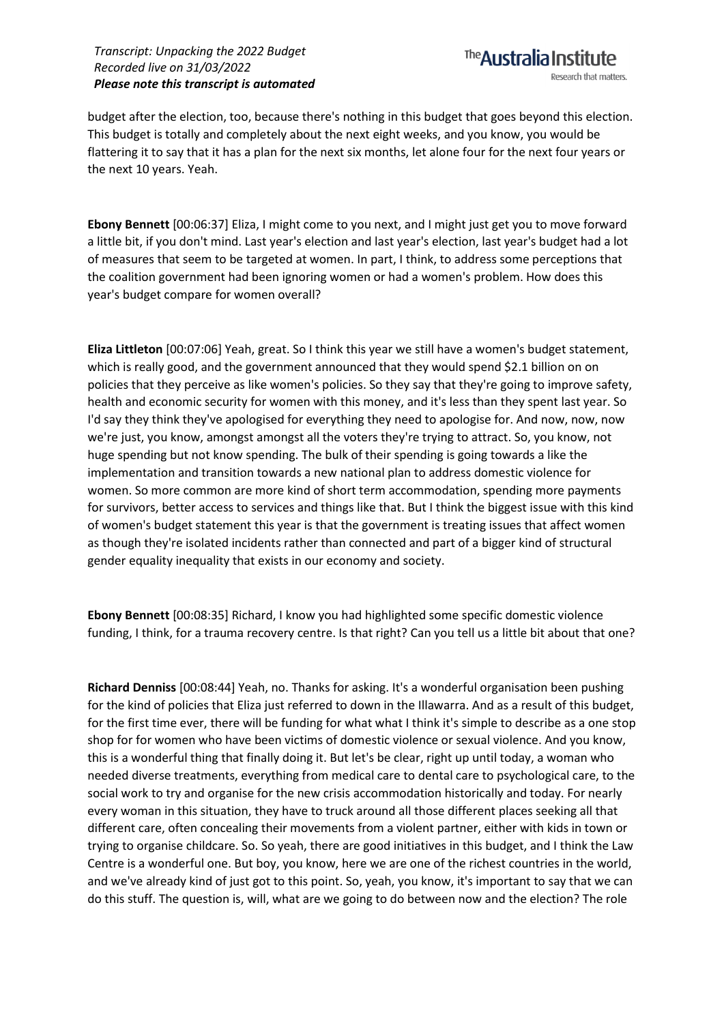The **Australia Institute** Research that matters.

budget after the election, too, because there's nothing in this budget that goes beyond this election. This budget is totally and completely about the next eight weeks, and you know, you would be flattering it to say that it has a plan for the next six months, let alone four for the next four years or the next 10 years. Yeah.

**Ebony Bennett** [00:06:37] Eliza, I might come to you next, and I might just get you to move forward a little bit, if you don't mind. Last year's election and last year's election, last year's budget had a lot of measures that seem to be targeted at women. In part, I think, to address some perceptions that the coalition government had been ignoring women or had a women's problem. How does this year's budget compare for women overall?

**Eliza Littleton** [00:07:06] Yeah, great. So I think this year we still have a women's budget statement, which is really good, and the government announced that they would spend \$2.1 billion on on policies that they perceive as like women's policies. So they say that they're going to improve safety, health and economic security for women with this money, and it's less than they spent last year. So I'd say they think they've apologised for everything they need to apologise for. And now, now, now we're just, you know, amongst amongst all the voters they're trying to attract. So, you know, not huge spending but not know spending. The bulk of their spending is going towards a like the implementation and transition towards a new national plan to address domestic violence for women. So more common are more kind of short term accommodation, spending more payments for survivors, better access to services and things like that. But I think the biggest issue with this kind of women's budget statement this year is that the government is treating issues that affect women as though they're isolated incidents rather than connected and part of a bigger kind of structural gender equality inequality that exists in our economy and society.

**Ebony Bennett** [00:08:35] Richard, I know you had highlighted some specific domestic violence funding, I think, for a trauma recovery centre. Is that right? Can you tell us a little bit about that one?

**Richard Denniss** [00:08:44] Yeah, no. Thanks for asking. It's a wonderful organisation been pushing for the kind of policies that Eliza just referred to down in the Illawarra. And as a result of this budget, for the first time ever, there will be funding for what what I think it's simple to describe as a one stop shop for for women who have been victims of domestic violence or sexual violence. And you know, this is a wonderful thing that finally doing it. But let's be clear, right up until today, a woman who needed diverse treatments, everything from medical care to dental care to psychological care, to the social work to try and organise for the new crisis accommodation historically and today. For nearly every woman in this situation, they have to truck around all those different places seeking all that different care, often concealing their movements from a violent partner, either with kids in town or trying to organise childcare. So. So yeah, there are good initiatives in this budget, and I think the Law Centre is a wonderful one. But boy, you know, here we are one of the richest countries in the world, and we've already kind of just got to this point. So, yeah, you know, it's important to say that we can do this stuff. The question is, will, what are we going to do between now and the election? The role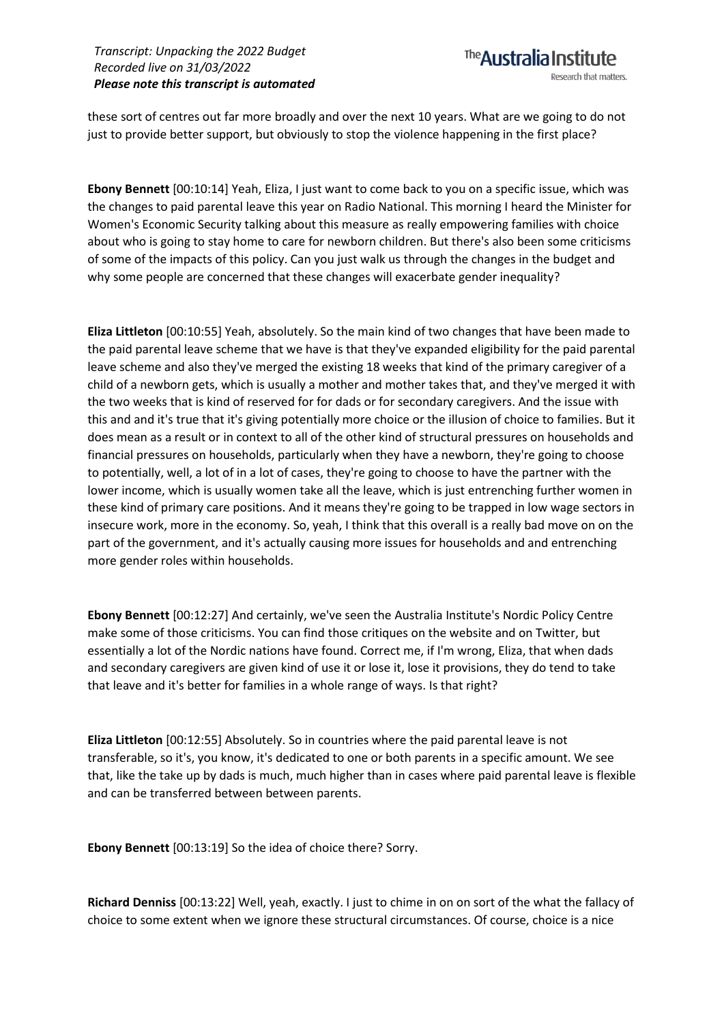these sort of centres out far more broadly and over the next 10 years. What are we going to do not just to provide better support, but obviously to stop the violence happening in the first place?

**Ebony Bennett** [00:10:14] Yeah, Eliza, I just want to come back to you on a specific issue, which was the changes to paid parental leave this year on Radio National. This morning I heard the Minister for Women's Economic Security talking about this measure as really empowering families with choice about who is going to stay home to care for newborn children. But there's also been some criticisms of some of the impacts of this policy. Can you just walk us through the changes in the budget and why some people are concerned that these changes will exacerbate gender inequality?

**Eliza Littleton** [00:10:55] Yeah, absolutely. So the main kind of two changes that have been made to the paid parental leave scheme that we have is that they've expanded eligibility for the paid parental leave scheme and also they've merged the existing 18 weeks that kind of the primary caregiver of a child of a newborn gets, which is usually a mother and mother takes that, and they've merged it with the two weeks that is kind of reserved for for dads or for secondary caregivers. And the issue with this and and it's true that it's giving potentially more choice or the illusion of choice to families. But it does mean as a result or in context to all of the other kind of structural pressures on households and financial pressures on households, particularly when they have a newborn, they're going to choose to potentially, well, a lot of in a lot of cases, they're going to choose to have the partner with the lower income, which is usually women take all the leave, which is just entrenching further women in these kind of primary care positions. And it means they're going to be trapped in low wage sectors in insecure work, more in the economy. So, yeah, I think that this overall is a really bad move on on the part of the government, and it's actually causing more issues for households and and entrenching more gender roles within households.

**Ebony Bennett** [00:12:27] And certainly, we've seen the Australia Institute's Nordic Policy Centre make some of those criticisms. You can find those critiques on the website and on Twitter, but essentially a lot of the Nordic nations have found. Correct me, if I'm wrong, Eliza, that when dads and secondary caregivers are given kind of use it or lose it, lose it provisions, they do tend to take that leave and it's better for families in a whole range of ways. Is that right?

**Eliza Littleton** [00:12:55] Absolutely. So in countries where the paid parental leave is not transferable, so it's, you know, it's dedicated to one or both parents in a specific amount. We see that, like the take up by dads is much, much higher than in cases where paid parental leave is flexible and can be transferred between between parents.

**Ebony Bennett** [00:13:19] So the idea of choice there? Sorry.

**Richard Denniss** [00:13:22] Well, yeah, exactly. I just to chime in on on sort of the what the fallacy of choice to some extent when we ignore these structural circumstances. Of course, choice is a nice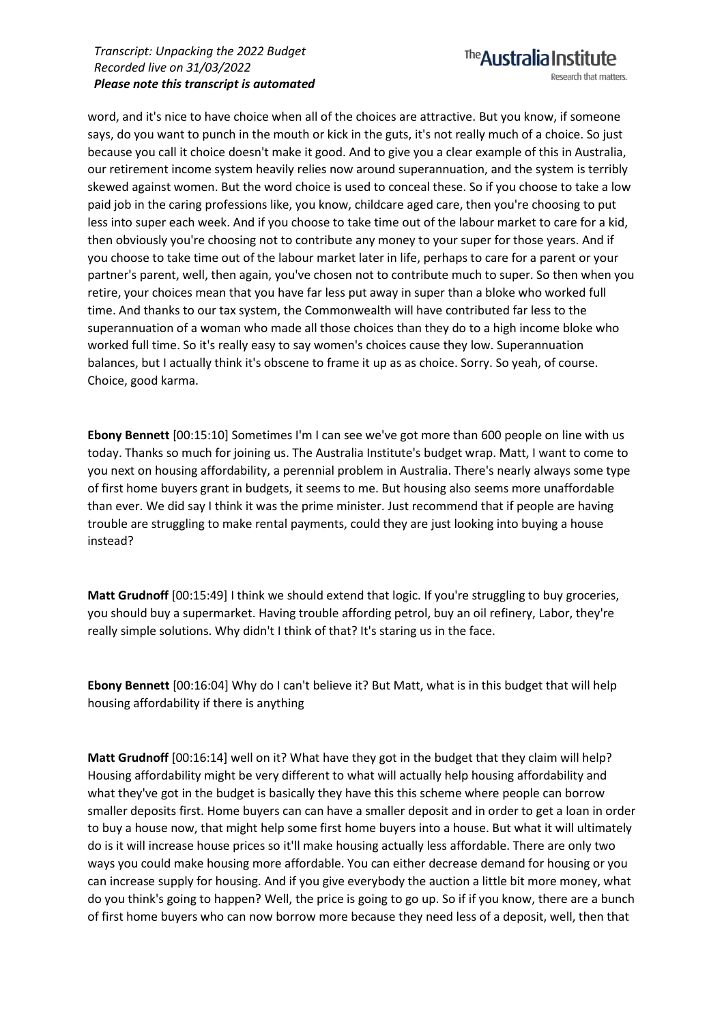### The **Australia Institute** Research that matters.

word, and it's nice to have choice when all of the choices are attractive. But you know, if someone says, do you want to punch in the mouth or kick in the guts, it's not really much of a choice. So just because you call it choice doesn't make it good. And to give you a clear example of this in Australia, our retirement income system heavily relies now around superannuation, and the system is terribly skewed against women. But the word choice is used to conceal these. So if you choose to take a low paid job in the caring professions like, you know, childcare aged care, then you're choosing to put less into super each week. And if you choose to take time out of the labour market to care for a kid, then obviously you're choosing not to contribute any money to your super for those years. And if you choose to take time out of the labour market later in life, perhaps to care for a parent or your partner's parent, well, then again, you've chosen not to contribute much to super. So then when you retire, your choices mean that you have far less put away in super than a bloke who worked full time. And thanks to our tax system, the Commonwealth will have contributed far less to the superannuation of a woman who made all those choices than they do to a high income bloke who worked full time. So it's really easy to say women's choices cause they low. Superannuation balances, but I actually think it's obscene to frame it up as as choice. Sorry. So yeah, of course. Choice, good karma.

**Ebony Bennett** [00:15:10] Sometimes I'm I can see we've got more than 600 people on line with us today. Thanks so much for joining us. The Australia Institute's budget wrap. Matt, I want to come to you next on housing affordability, a perennial problem in Australia. There's nearly always some type of first home buyers grant in budgets, it seems to me. But housing also seems more unaffordable than ever. We did say I think it was the prime minister. Just recommend that if people are having trouble are struggling to make rental payments, could they are just looking into buying a house instead?

**Matt Grudnoff** [00:15:49] I think we should extend that logic. If you're struggling to buy groceries, you should buy a supermarket. Having trouble affording petrol, buy an oil refinery, Labor, they're really simple solutions. Why didn't I think of that? It's staring us in the face.

**Ebony Bennett** [00:16:04] Why do I can't believe it? But Matt, what is in this budget that will help housing affordability if there is anything

**Matt Grudnoff** [00:16:14] well on it? What have they got in the budget that they claim will help? Housing affordability might be very different to what will actually help housing affordability and what they've got in the budget is basically they have this this scheme where people can borrow smaller deposits first. Home buyers can can have a smaller deposit and in order to get a loan in order to buy a house now, that might help some first home buyers into a house. But what it will ultimately do is it will increase house prices so it'll make housing actually less affordable. There are only two ways you could make housing more affordable. You can either decrease demand for housing or you can increase supply for housing. And if you give everybody the auction a little bit more money, what do you think's going to happen? Well, the price is going to go up. So if if you know, there are a bunch of first home buyers who can now borrow more because they need less of a deposit, well, then that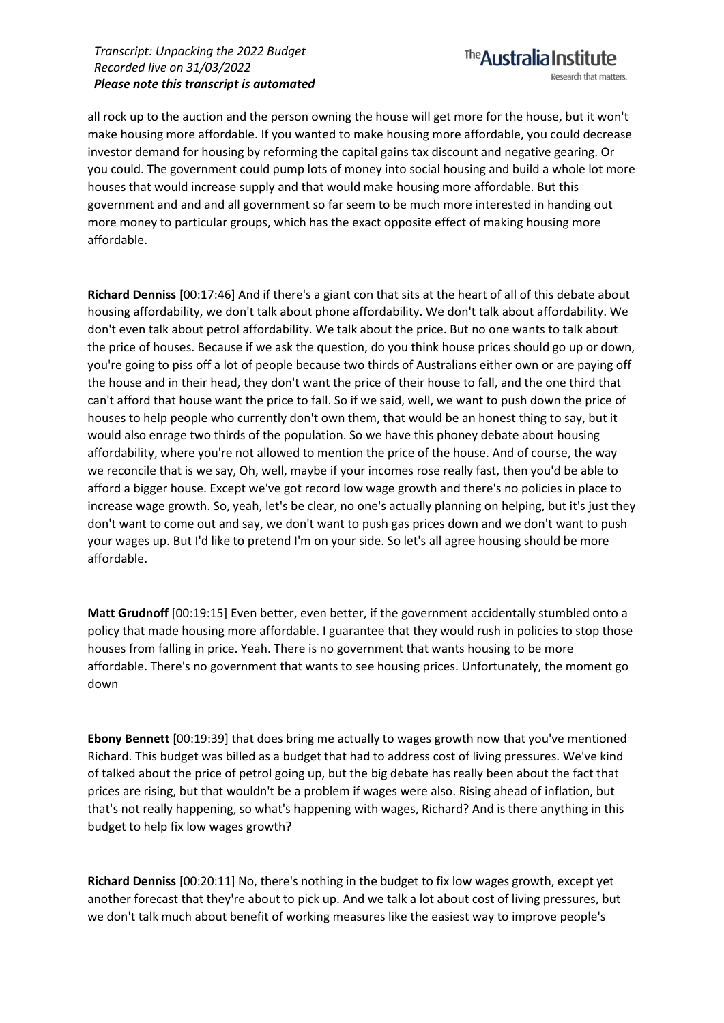The Australia Institute Research that matters.

all rock up to the auction and the person owning the house will get more for the house, but it won't make housing more affordable. If you wanted to make housing more affordable, you could decrease investor demand for housing by reforming the capital gains tax discount and negative gearing. Or you could. The government could pump lots of money into social housing and build a whole lot more houses that would increase supply and that would make housing more affordable. But this government and and and all government so far seem to be much more interested in handing out more money to particular groups, which has the exact opposite effect of making housing more affordable.

**Richard Denniss** [00:17:46] And if there's a giant con that sits at the heart of all of this debate about housing affordability, we don't talk about phone affordability. We don't talk about affordability. We don't even talk about petrol affordability. We talk about the price. But no one wants to talk about the price of houses. Because if we ask the question, do you think house prices should go up or down, you're going to piss off a lot of people because two thirds of Australians either own or are paying off the house and in their head, they don't want the price of their house to fall, and the one third that can't afford that house want the price to fall. So if we said, well, we want to push down the price of houses to help people who currently don't own them, that would be an honest thing to say, but it would also enrage two thirds of the population. So we have this phoney debate about housing affordability, where you're not allowed to mention the price of the house. And of course, the way we reconcile that is we say, Oh, well, maybe if your incomes rose really fast, then you'd be able to afford a bigger house. Except we've got record low wage growth and there's no policies in place to increase wage growth. So, yeah, let's be clear, no one's actually planning on helping, but it's just they don't want to come out and say, we don't want to push gas prices down and we don't want to push your wages up. But I'd like to pretend I'm on your side. So let's all agree housing should be more affordable.

**Matt Grudnoff** [00:19:15] Even better, even better, if the government accidentally stumbled onto a policy that made housing more affordable. I guarantee that they would rush in policies to stop those houses from falling in price. Yeah. There is no government that wants housing to be more affordable. There's no government that wants to see housing prices. Unfortunately, the moment go down

**Ebony Bennett** [00:19:39] that does bring me actually to wages growth now that you've mentioned Richard. This budget was billed as a budget that had to address cost of living pressures. We've kind of talked about the price of petrol going up, but the big debate has really been about the fact that prices are rising, but that wouldn't be a problem if wages were also. Rising ahead of inflation, but that's not really happening, so what's happening with wages, Richard? And is there anything in this budget to help fix low wages growth?

**Richard Denniss** [00:20:11] No, there's nothing in the budget to fix low wages growth, except yet another forecast that they're about to pick up. And we talk a lot about cost of living pressures, but we don't talk much about benefit of working measures like the easiest way to improve people's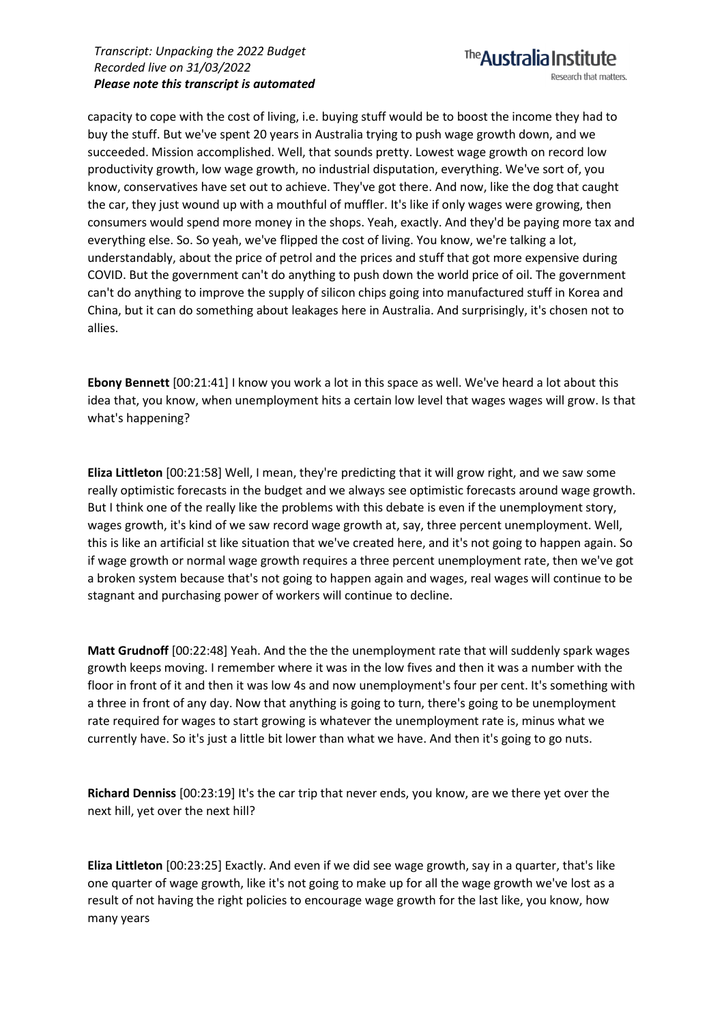capacity to cope with the cost of living, i.e. buying stuff would be to boost the income they had to buy the stuff. But we've spent 20 years in Australia trying to push wage growth down, and we succeeded. Mission accomplished. Well, that sounds pretty. Lowest wage growth on record low productivity growth, low wage growth, no industrial disputation, everything. We've sort of, you know, conservatives have set out to achieve. They've got there. And now, like the dog that caught the car, they just wound up with a mouthful of muffler. It's like if only wages were growing, then consumers would spend more money in the shops. Yeah, exactly. And they'd be paying more tax and everything else. So. So yeah, we've flipped the cost of living. You know, we're talking a lot, understandably, about the price of petrol and the prices and stuff that got more expensive during COVID. But the government can't do anything to push down the world price of oil. The government can't do anything to improve the supply of silicon chips going into manufactured stuff in Korea and China, but it can do something about leakages here in Australia. And surprisingly, it's chosen not to allies.

**Ebony Bennett** [00:21:41] I know you work a lot in this space as well. We've heard a lot about this idea that, you know, when unemployment hits a certain low level that wages wages will grow. Is that what's happening?

**Eliza Littleton** [00:21:58] Well, I mean, they're predicting that it will grow right, and we saw some really optimistic forecasts in the budget and we always see optimistic forecasts around wage growth. But I think one of the really like the problems with this debate is even if the unemployment story, wages growth, it's kind of we saw record wage growth at, say, three percent unemployment. Well, this is like an artificial st like situation that we've created here, and it's not going to happen again. So if wage growth or normal wage growth requires a three percent unemployment rate, then we've got a broken system because that's not going to happen again and wages, real wages will continue to be stagnant and purchasing power of workers will continue to decline.

**Matt Grudnoff** [00:22:48] Yeah. And the the the unemployment rate that will suddenly spark wages growth keeps moving. I remember where it was in the low fives and then it was a number with the floor in front of it and then it was low 4s and now unemployment's four per cent. It's something with a three in front of any day. Now that anything is going to turn, there's going to be unemployment rate required for wages to start growing is whatever the unemployment rate is, minus what we currently have. So it's just a little bit lower than what we have. And then it's going to go nuts.

**Richard Denniss** [00:23:19] It's the car trip that never ends, you know, are we there yet over the next hill, yet over the next hill?

**Eliza Littleton** [00:23:25] Exactly. And even if we did see wage growth, say in a quarter, that's like one quarter of wage growth, like it's not going to make up for all the wage growth we've lost as a result of not having the right policies to encourage wage growth for the last like, you know, how many years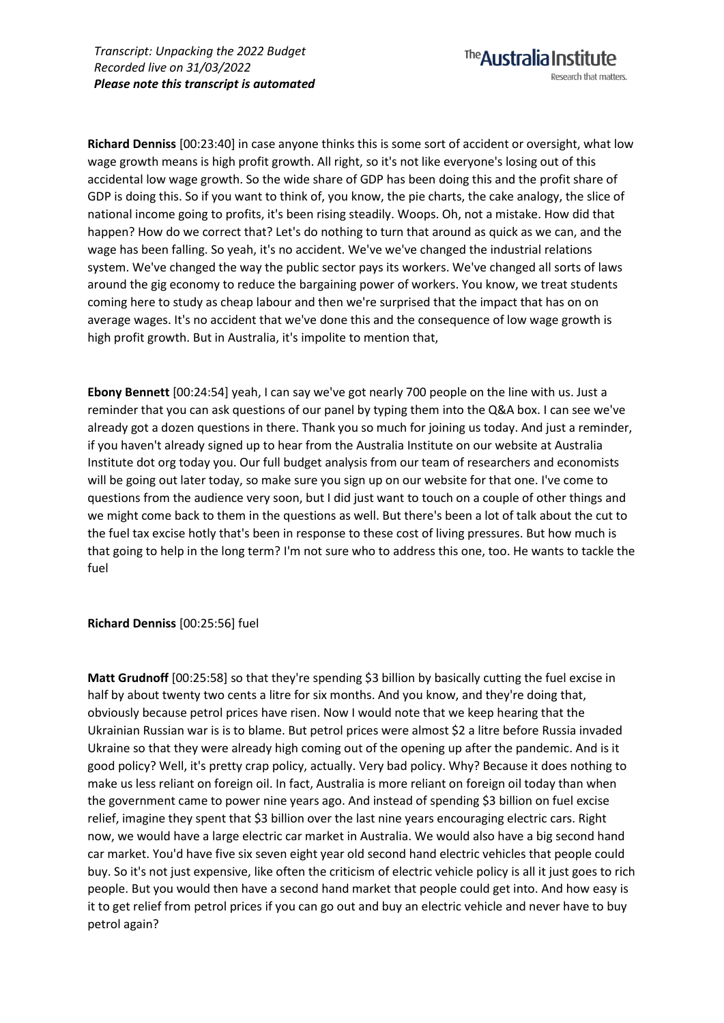**Richard Denniss** [00:23:40] in case anyone thinks this is some sort of accident or oversight, what low wage growth means is high profit growth. All right, so it's not like everyone's losing out of this accidental low wage growth. So the wide share of GDP has been doing this and the profit share of GDP is doing this. So if you want to think of, you know, the pie charts, the cake analogy, the slice of national income going to profits, it's been rising steadily. Woops. Oh, not a mistake. How did that happen? How do we correct that? Let's do nothing to turn that around as quick as we can, and the wage has been falling. So yeah, it's no accident. We've we've changed the industrial relations system. We've changed the way the public sector pays its workers. We've changed all sorts of laws around the gig economy to reduce the bargaining power of workers. You know, we treat students coming here to study as cheap labour and then we're surprised that the impact that has on on average wages. It's no accident that we've done this and the consequence of low wage growth is high profit growth. But in Australia, it's impolite to mention that,

**Ebony Bennett** [00:24:54] yeah, I can say we've got nearly 700 people on the line with us. Just a reminder that you can ask questions of our panel by typing them into the Q&A box. I can see we've already got a dozen questions in there. Thank you so much for joining us today. And just a reminder, if you haven't already signed up to hear from the Australia Institute on our website at Australia Institute dot org today you. Our full budget analysis from our team of researchers and economists will be going out later today, so make sure you sign up on our website for that one. I've come to questions from the audience very soon, but I did just want to touch on a couple of other things and we might come back to them in the questions as well. But there's been a lot of talk about the cut to the fuel tax excise hotly that's been in response to these cost of living pressures. But how much is that going to help in the long term? I'm not sure who to address this one, too. He wants to tackle the fuel

**Richard Denniss** [00:25:56] fuel

**Matt Grudnoff** [00:25:58] so that they're spending \$3 billion by basically cutting the fuel excise in half by about twenty two cents a litre for six months. And you know, and they're doing that, obviously because petrol prices have risen. Now I would note that we keep hearing that the Ukrainian Russian war is is to blame. But petrol prices were almost \$2 a litre before Russia invaded Ukraine so that they were already high coming out of the opening up after the pandemic. And is it good policy? Well, it's pretty crap policy, actually. Very bad policy. Why? Because it does nothing to make us less reliant on foreign oil. In fact, Australia is more reliant on foreign oil today than when the government came to power nine years ago. And instead of spending \$3 billion on fuel excise relief, imagine they spent that \$3 billion over the last nine years encouraging electric cars. Right now, we would have a large electric car market in Australia. We would also have a big second hand car market. You'd have five six seven eight year old second hand electric vehicles that people could buy. So it's not just expensive, like often the criticism of electric vehicle policy is all it just goes to rich people. But you would then have a second hand market that people could get into. And how easy is it to get relief from petrol prices if you can go out and buy an electric vehicle and never have to buy petrol again?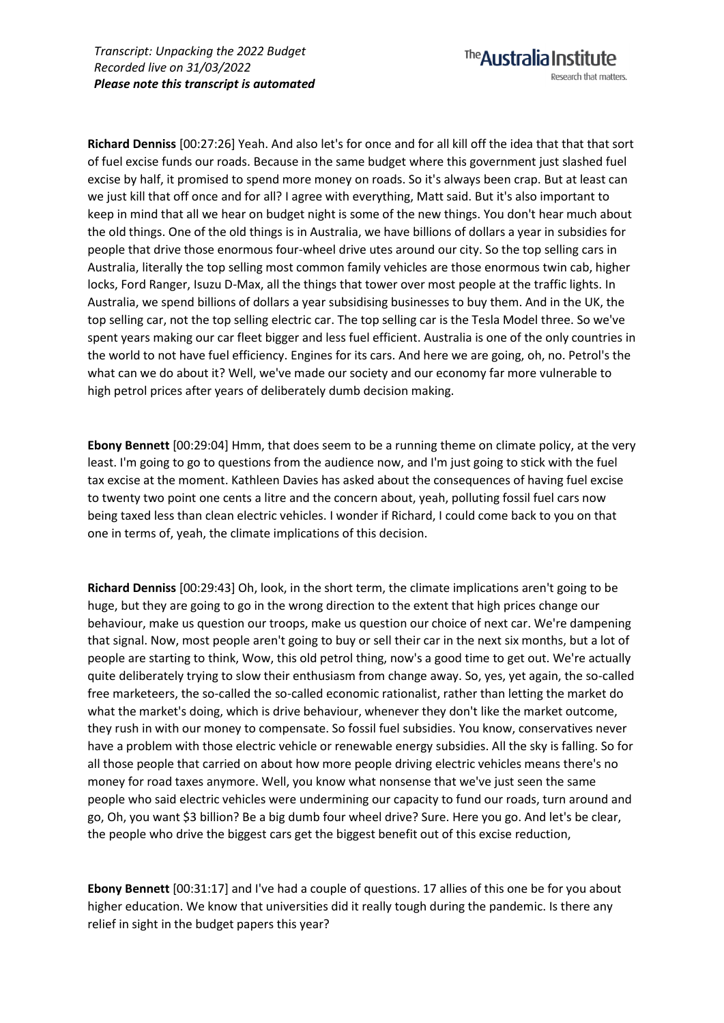**Richard Denniss** [00:27:26] Yeah. And also let's for once and for all kill off the idea that that that sort of fuel excise funds our roads. Because in the same budget where this government just slashed fuel excise by half, it promised to spend more money on roads. So it's always been crap. But at least can we just kill that off once and for all? I agree with everything, Matt said. But it's also important to keep in mind that all we hear on budget night is some of the new things. You don't hear much about the old things. One of the old things is in Australia, we have billions of dollars a year in subsidies for people that drive those enormous four-wheel drive utes around our city. So the top selling cars in Australia, literally the top selling most common family vehicles are those enormous twin cab, higher locks, Ford Ranger, Isuzu D-Max, all the things that tower over most people at the traffic lights. In Australia, we spend billions of dollars a year subsidising businesses to buy them. And in the UK, the top selling car, not the top selling electric car. The top selling car is the Tesla Model three. So we've spent years making our car fleet bigger and less fuel efficient. Australia is one of the only countries in the world to not have fuel efficiency. Engines for its cars. And here we are going, oh, no. Petrol's the what can we do about it? Well, we've made our society and our economy far more vulnerable to high petrol prices after years of deliberately dumb decision making.

The **Australia Institute** 

Research that matters.

**Ebony Bennett** [00:29:04] Hmm, that does seem to be a running theme on climate policy, at the very least. I'm going to go to questions from the audience now, and I'm just going to stick with the fuel tax excise at the moment. Kathleen Davies has asked about the consequences of having fuel excise to twenty two point one cents a litre and the concern about, yeah, polluting fossil fuel cars now being taxed less than clean electric vehicles. I wonder if Richard, I could come back to you on that one in terms of, yeah, the climate implications of this decision.

**Richard Denniss** [00:29:43] Oh, look, in the short term, the climate implications aren't going to be huge, but they are going to go in the wrong direction to the extent that high prices change our behaviour, make us question our troops, make us question our choice of next car. We're dampening that signal. Now, most people aren't going to buy or sell their car in the next six months, but a lot of people are starting to think, Wow, this old petrol thing, now's a good time to get out. We're actually quite deliberately trying to slow their enthusiasm from change away. So, yes, yet again, the so-called free marketeers, the so-called the so-called economic rationalist, rather than letting the market do what the market's doing, which is drive behaviour, whenever they don't like the market outcome, they rush in with our money to compensate. So fossil fuel subsidies. You know, conservatives never have a problem with those electric vehicle or renewable energy subsidies. All the sky is falling. So for all those people that carried on about how more people driving electric vehicles means there's no money for road taxes anymore. Well, you know what nonsense that we've just seen the same people who said electric vehicles were undermining our capacity to fund our roads, turn around and go, Oh, you want \$3 billion? Be a big dumb four wheel drive? Sure. Here you go. And let's be clear, the people who drive the biggest cars get the biggest benefit out of this excise reduction,

**Ebony Bennett** [00:31:17] and I've had a couple of questions. 17 allies of this one be for you about higher education. We know that universities did it really tough during the pandemic. Is there any relief in sight in the budget papers this year?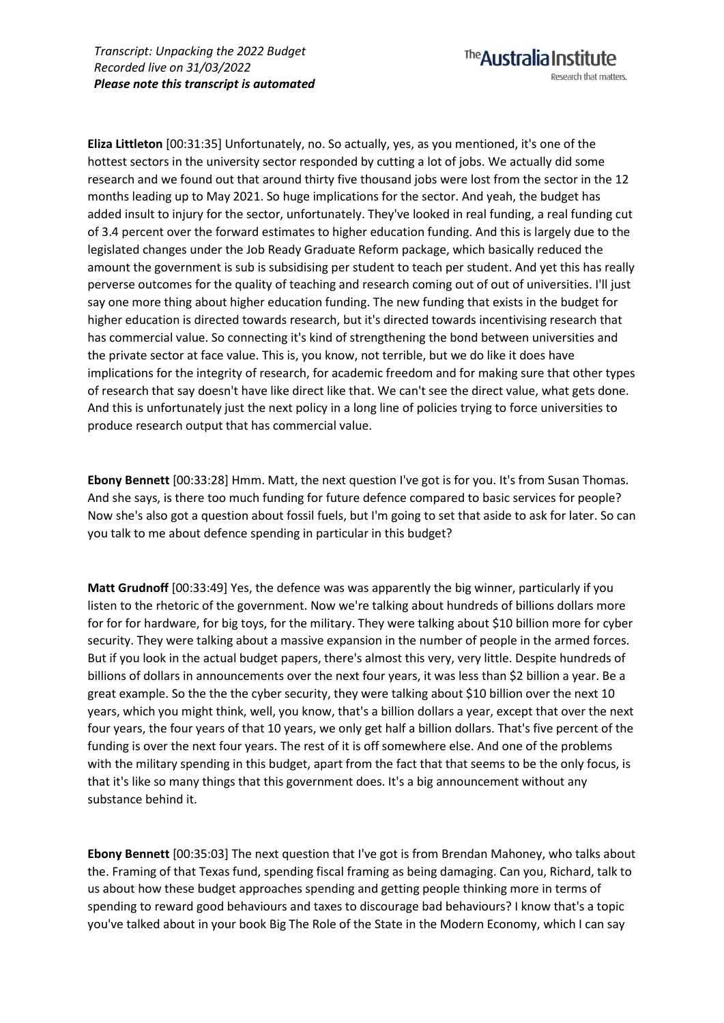**Eliza Littleton** [00:31:35] Unfortunately, no. So actually, yes, as you mentioned, it's one of the hottest sectors in the university sector responded by cutting a lot of jobs. We actually did some research and we found out that around thirty five thousand jobs were lost from the sector in the 12 months leading up to May 2021. So huge implications for the sector. And yeah, the budget has added insult to injury for the sector, unfortunately. They've looked in real funding, a real funding cut of 3.4 percent over the forward estimates to higher education funding. And this is largely due to the legislated changes under the Job Ready Graduate Reform package, which basically reduced the amount the government is sub is subsidising per student to teach per student. And yet this has really perverse outcomes for the quality of teaching and research coming out of out of universities. I'll just say one more thing about higher education funding. The new funding that exists in the budget for higher education is directed towards research, but it's directed towards incentivising research that has commercial value. So connecting it's kind of strengthening the bond between universities and the private sector at face value. This is, you know, not terrible, but we do like it does have implications for the integrity of research, for academic freedom and for making sure that other types of research that say doesn't have like direct like that. We can't see the direct value, what gets done. And this is unfortunately just the next policy in a long line of policies trying to force universities to produce research output that has commercial value.

The **Australia Institute** 

Research that matters.

**Ebony Bennett** [00:33:28] Hmm. Matt, the next question I've got is for you. It's from Susan Thomas. And she says, is there too much funding for future defence compared to basic services for people? Now she's also got a question about fossil fuels, but I'm going to set that aside to ask for later. So can you talk to me about defence spending in particular in this budget?

**Matt Grudnoff** [00:33:49] Yes, the defence was was apparently the big winner, particularly if you listen to the rhetoric of the government. Now we're talking about hundreds of billions dollars more for for for hardware, for big toys, for the military. They were talking about \$10 billion more for cyber security. They were talking about a massive expansion in the number of people in the armed forces. But if you look in the actual budget papers, there's almost this very, very little. Despite hundreds of billions of dollars in announcements over the next four years, it was less than \$2 billion a year. Be a great example. So the the the cyber security, they were talking about \$10 billion over the next 10 years, which you might think, well, you know, that's a billion dollars a year, except that over the next four years, the four years of that 10 years, we only get half a billion dollars. That's five percent of the funding is over the next four years. The rest of it is off somewhere else. And one of the problems with the military spending in this budget, apart from the fact that that seems to be the only focus, is that it's like so many things that this government does. It's a big announcement without any substance behind it.

**Ebony Bennett** [00:35:03] The next question that I've got is from Brendan Mahoney, who talks about the. Framing of that Texas fund, spending fiscal framing as being damaging. Can you, Richard, talk to us about how these budget approaches spending and getting people thinking more in terms of spending to reward good behaviours and taxes to discourage bad behaviours? I know that's a topic you've talked about in your book Big The Role of the State in the Modern Economy, which I can say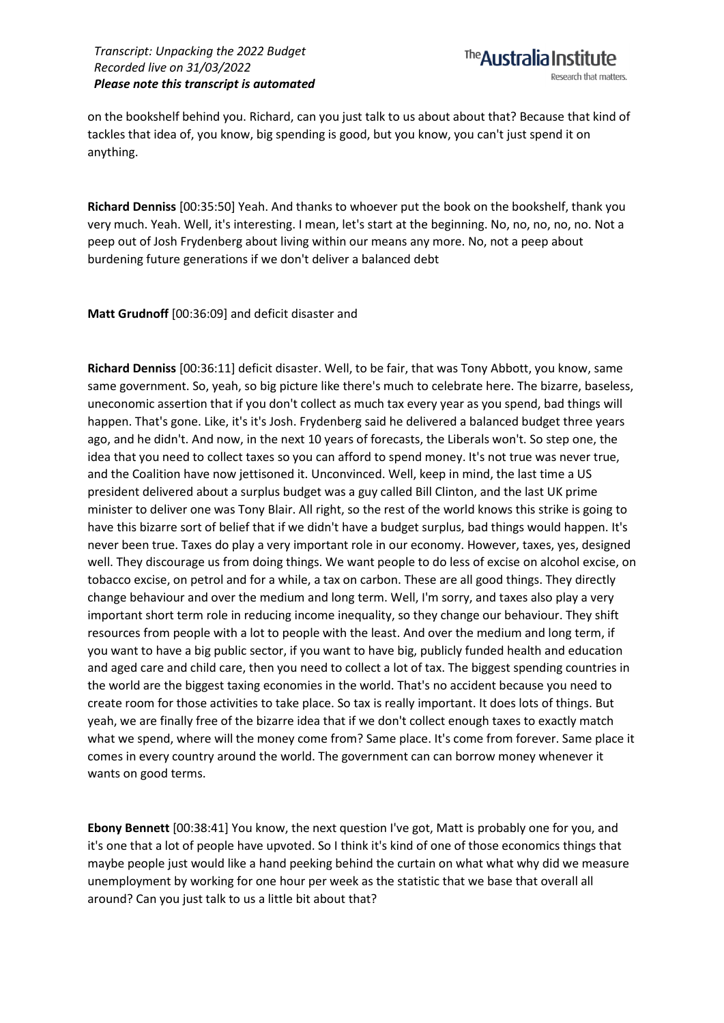on the bookshelf behind you. Richard, can you just talk to us about about that? Because that kind of tackles that idea of, you know, big spending is good, but you know, you can't just spend it on anything.

**Richard Denniss** [00:35:50] Yeah. And thanks to whoever put the book on the bookshelf, thank you very much. Yeah. Well, it's interesting. I mean, let's start at the beginning. No, no, no, no, no. Not a peep out of Josh Frydenberg about living within our means any more. No, not a peep about burdening future generations if we don't deliver a balanced debt

**Matt Grudnoff** [00:36:09] and deficit disaster and

**Richard Denniss** [00:36:11] deficit disaster. Well, to be fair, that was Tony Abbott, you know, same same government. So, yeah, so big picture like there's much to celebrate here. The bizarre, baseless, uneconomic assertion that if you don't collect as much tax every year as you spend, bad things will happen. That's gone. Like, it's it's Josh. Frydenberg said he delivered a balanced budget three years ago, and he didn't. And now, in the next 10 years of forecasts, the Liberals won't. So step one, the idea that you need to collect taxes so you can afford to spend money. It's not true was never true, and the Coalition have now jettisoned it. Unconvinced. Well, keep in mind, the last time a US president delivered about a surplus budget was a guy called Bill Clinton, and the last UK prime minister to deliver one was Tony Blair. All right, so the rest of the world knows this strike is going to have this bizarre sort of belief that if we didn't have a budget surplus, bad things would happen. It's never been true. Taxes do play a very important role in our economy. However, taxes, yes, designed well. They discourage us from doing things. We want people to do less of excise on alcohol excise, on tobacco excise, on petrol and for a while, a tax on carbon. These are all good things. They directly change behaviour and over the medium and long term. Well, I'm sorry, and taxes also play a very important short term role in reducing income inequality, so they change our behaviour. They shift resources from people with a lot to people with the least. And over the medium and long term, if you want to have a big public sector, if you want to have big, publicly funded health and education and aged care and child care, then you need to collect a lot of tax. The biggest spending countries in the world are the biggest taxing economies in the world. That's no accident because you need to create room for those activities to take place. So tax is really important. It does lots of things. But yeah, we are finally free of the bizarre idea that if we don't collect enough taxes to exactly match what we spend, where will the money come from? Same place. It's come from forever. Same place it comes in every country around the world. The government can can borrow money whenever it wants on good terms.

**Ebony Bennett** [00:38:41] You know, the next question I've got, Matt is probably one for you, and it's one that a lot of people have upvoted. So I think it's kind of one of those economics things that maybe people just would like a hand peeking behind the curtain on what what why did we measure unemployment by working for one hour per week as the statistic that we base that overall all around? Can you just talk to us a little bit about that?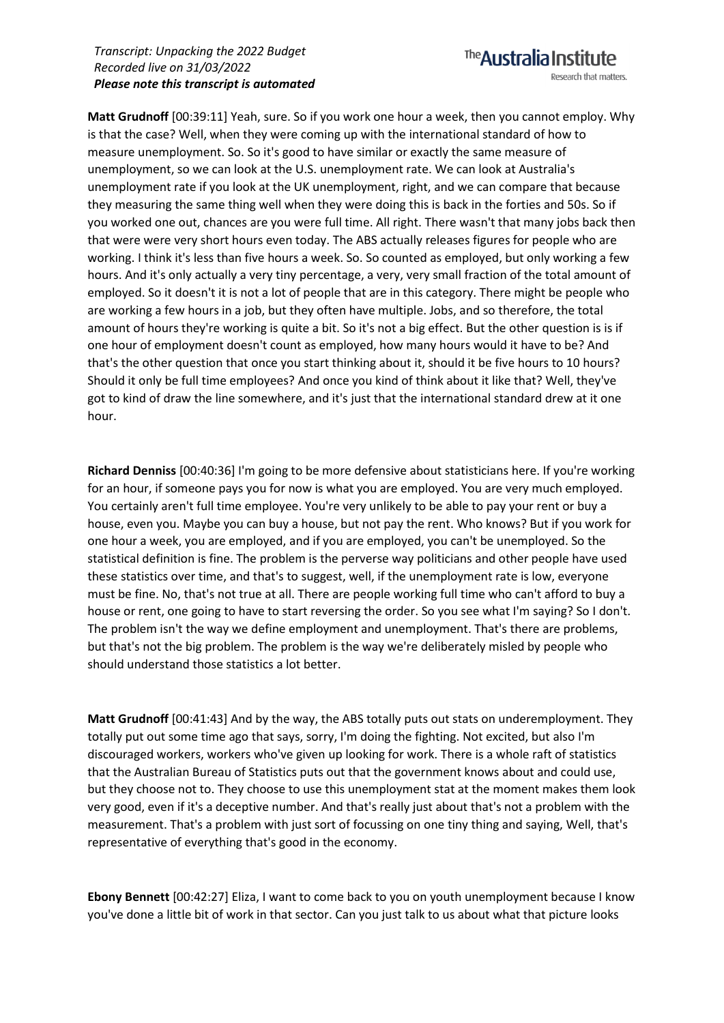## The **Australia Institute**

Research that matters.

**Matt Grudnoff** [00:39:11] Yeah, sure. So if you work one hour a week, then you cannot employ. Why is that the case? Well, when they were coming up with the international standard of how to measure unemployment. So. So it's good to have similar or exactly the same measure of unemployment, so we can look at the U.S. unemployment rate. We can look at Australia's unemployment rate if you look at the UK unemployment, right, and we can compare that because they measuring the same thing well when they were doing this is back in the forties and 50s. So if you worked one out, chances are you were full time. All right. There wasn't that many jobs back then that were were very short hours even today. The ABS actually releases figures for people who are working. I think it's less than five hours a week. So. So counted as employed, but only working a few hours. And it's only actually a very tiny percentage, a very, very small fraction of the total amount of employed. So it doesn't it is not a lot of people that are in this category. There might be people who are working a few hours in a job, but they often have multiple. Jobs, and so therefore, the total amount of hours they're working is quite a bit. So it's not a big effect. But the other question is is if one hour of employment doesn't count as employed, how many hours would it have to be? And that's the other question that once you start thinking about it, should it be five hours to 10 hours? Should it only be full time employees? And once you kind of think about it like that? Well, they've got to kind of draw the line somewhere, and it's just that the international standard drew at it one hour.

**Richard Denniss** [00:40:36] I'm going to be more defensive about statisticians here. If you're working for an hour, if someone pays you for now is what you are employed. You are very much employed. You certainly aren't full time employee. You're very unlikely to be able to pay your rent or buy a house, even you. Maybe you can buy a house, but not pay the rent. Who knows? But if you work for one hour a week, you are employed, and if you are employed, you can't be unemployed. So the statistical definition is fine. The problem is the perverse way politicians and other people have used these statistics over time, and that's to suggest, well, if the unemployment rate is low, everyone must be fine. No, that's not true at all. There are people working full time who can't afford to buy a house or rent, one going to have to start reversing the order. So you see what I'm saying? So I don't. The problem isn't the way we define employment and unemployment. That's there are problems, but that's not the big problem. The problem is the way we're deliberately misled by people who should understand those statistics a lot better.

**Matt Grudnoff** [00:41:43] And by the way, the ABS totally puts out stats on underemployment. They totally put out some time ago that says, sorry, I'm doing the fighting. Not excited, but also I'm discouraged workers, workers who've given up looking for work. There is a whole raft of statistics that the Australian Bureau of Statistics puts out that the government knows about and could use, but they choose not to. They choose to use this unemployment stat at the moment makes them look very good, even if it's a deceptive number. And that's really just about that's not a problem with the measurement. That's a problem with just sort of focussing on one tiny thing and saying, Well, that's representative of everything that's good in the economy.

**Ebony Bennett** [00:42:27] Eliza, I want to come back to you on youth unemployment because I know you've done a little bit of work in that sector. Can you just talk to us about what that picture looks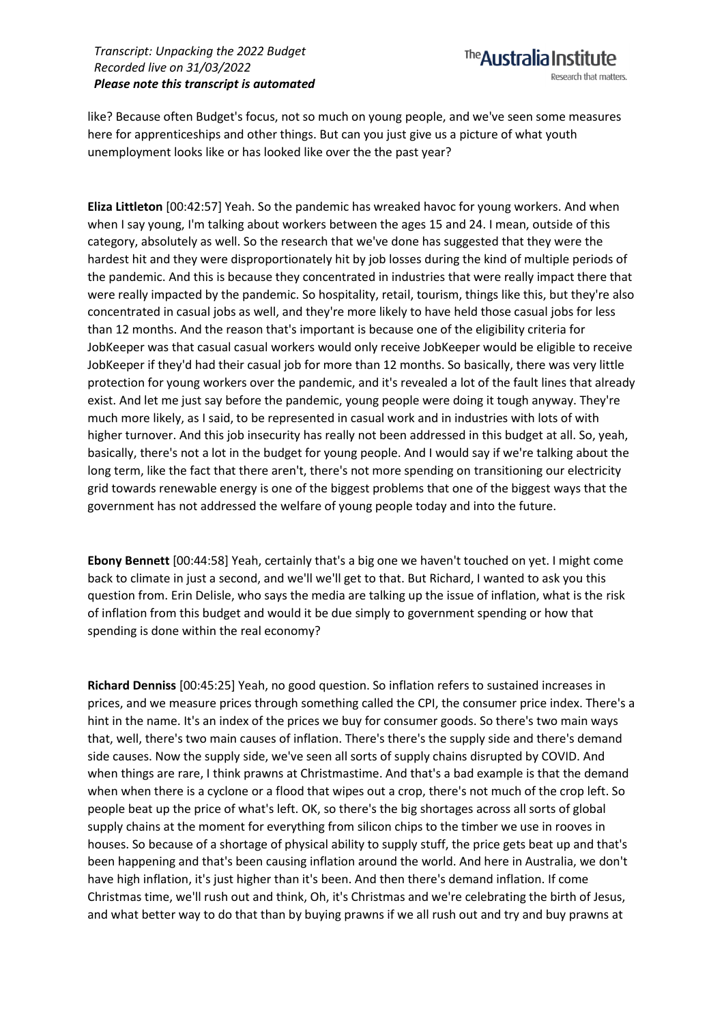

like? Because often Budget's focus, not so much on young people, and we've seen some measures here for apprenticeships and other things. But can you just give us a picture of what youth unemployment looks like or has looked like over the the past year?

**Eliza Littleton** [00:42:57] Yeah. So the pandemic has wreaked havoc for young workers. And when when I say young, I'm talking about workers between the ages 15 and 24. I mean, outside of this category, absolutely as well. So the research that we've done has suggested that they were the hardest hit and they were disproportionately hit by job losses during the kind of multiple periods of the pandemic. And this is because they concentrated in industries that were really impact there that were really impacted by the pandemic. So hospitality, retail, tourism, things like this, but they're also concentrated in casual jobs as well, and they're more likely to have held those casual jobs for less than 12 months. And the reason that's important is because one of the eligibility criteria for JobKeeper was that casual casual workers would only receive JobKeeper would be eligible to receive JobKeeper if they'd had their casual job for more than 12 months. So basically, there was very little protection for young workers over the pandemic, and it's revealed a lot of the fault lines that already exist. And let me just say before the pandemic, young people were doing it tough anyway. They're much more likely, as I said, to be represented in casual work and in industries with lots of with higher turnover. And this job insecurity has really not been addressed in this budget at all. So, yeah, basically, there's not a lot in the budget for young people. And I would say if we're talking about the long term, like the fact that there aren't, there's not more spending on transitioning our electricity grid towards renewable energy is one of the biggest problems that one of the biggest ways that the government has not addressed the welfare of young people today and into the future.

**Ebony Bennett** [00:44:58] Yeah, certainly that's a big one we haven't touched on yet. I might come back to climate in just a second, and we'll we'll get to that. But Richard, I wanted to ask you this question from. Erin Delisle, who says the media are talking up the issue of inflation, what is the risk of inflation from this budget and would it be due simply to government spending or how that spending is done within the real economy?

**Richard Denniss** [00:45:25] Yeah, no good question. So inflation refers to sustained increases in prices, and we measure prices through something called the CPI, the consumer price index. There's a hint in the name. It's an index of the prices we buy for consumer goods. So there's two main ways that, well, there's two main causes of inflation. There's there's the supply side and there's demand side causes. Now the supply side, we've seen all sorts of supply chains disrupted by COVID. And when things are rare, I think prawns at Christmastime. And that's a bad example is that the demand when when there is a cyclone or a flood that wipes out a crop, there's not much of the crop left. So people beat up the price of what's left. OK, so there's the big shortages across all sorts of global supply chains at the moment for everything from silicon chips to the timber we use in rooves in houses. So because of a shortage of physical ability to supply stuff, the price gets beat up and that's been happening and that's been causing inflation around the world. And here in Australia, we don't have high inflation, it's just higher than it's been. And then there's demand inflation. If come Christmas time, we'll rush out and think, Oh, it's Christmas and we're celebrating the birth of Jesus, and what better way to do that than by buying prawns if we all rush out and try and buy prawns at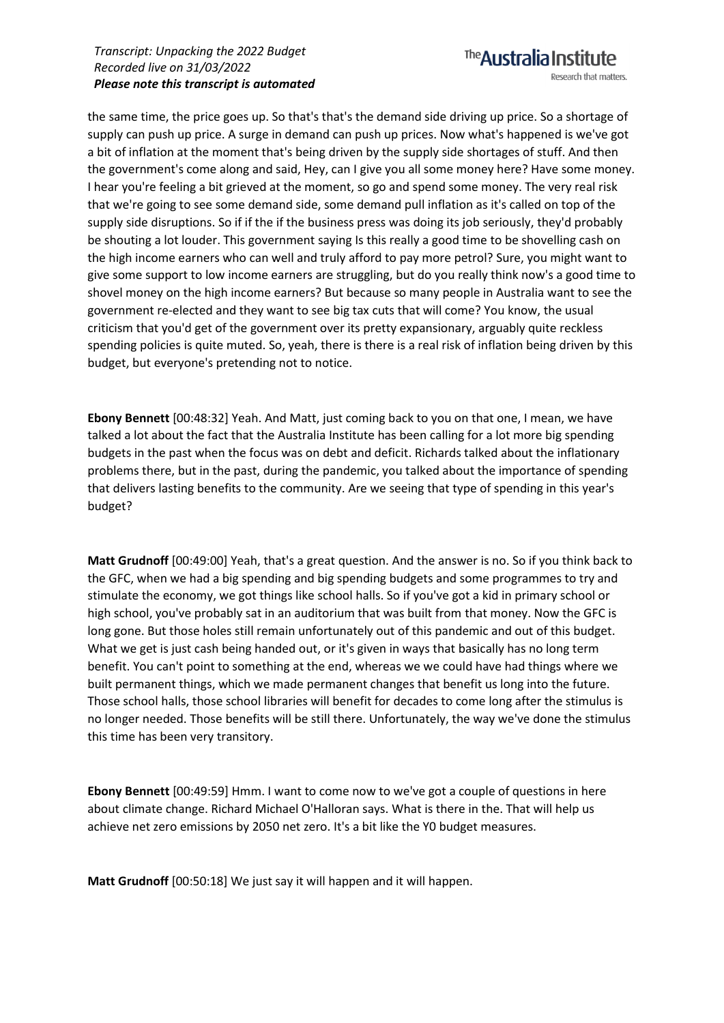### The **Australia Institute** Research that matters.

the same time, the price goes up. So that's that's the demand side driving up price. So a shortage of supply can push up price. A surge in demand can push up prices. Now what's happened is we've got a bit of inflation at the moment that's being driven by the supply side shortages of stuff. And then the government's come along and said, Hey, can I give you all some money here? Have some money. I hear you're feeling a bit grieved at the moment, so go and spend some money. The very real risk that we're going to see some demand side, some demand pull inflation as it's called on top of the supply side disruptions. So if if the if the business press was doing its job seriously, they'd probably be shouting a lot louder. This government saying Is this really a good time to be shovelling cash on the high income earners who can well and truly afford to pay more petrol? Sure, you might want to give some support to low income earners are struggling, but do you really think now's a good time to shovel money on the high income earners? But because so many people in Australia want to see the government re-elected and they want to see big tax cuts that will come? You know, the usual criticism that you'd get of the government over its pretty expansionary, arguably quite reckless spending policies is quite muted. So, yeah, there is there is a real risk of inflation being driven by this budget, but everyone's pretending not to notice.

**Ebony Bennett** [00:48:32] Yeah. And Matt, just coming back to you on that one, I mean, we have talked a lot about the fact that the Australia Institute has been calling for a lot more big spending budgets in the past when the focus was on debt and deficit. Richards talked about the inflationary problems there, but in the past, during the pandemic, you talked about the importance of spending that delivers lasting benefits to the community. Are we seeing that type of spending in this year's budget?

**Matt Grudnoff** [00:49:00] Yeah, that's a great question. And the answer is no. So if you think back to the GFC, when we had a big spending and big spending budgets and some programmes to try and stimulate the economy, we got things like school halls. So if you've got a kid in primary school or high school, you've probably sat in an auditorium that was built from that money. Now the GFC is long gone. But those holes still remain unfortunately out of this pandemic and out of this budget. What we get is just cash being handed out, or it's given in ways that basically has no long term benefit. You can't point to something at the end, whereas we we could have had things where we built permanent things, which we made permanent changes that benefit us long into the future. Those school halls, those school libraries will benefit for decades to come long after the stimulus is no longer needed. Those benefits will be still there. Unfortunately, the way we've done the stimulus this time has been very transitory.

**Ebony Bennett** [00:49:59] Hmm. I want to come now to we've got a couple of questions in here about climate change. Richard Michael O'Halloran says. What is there in the. That will help us achieve net zero emissions by 2050 net zero. It's a bit like the Y0 budget measures.

**Matt Grudnoff** [00:50:18] We just say it will happen and it will happen.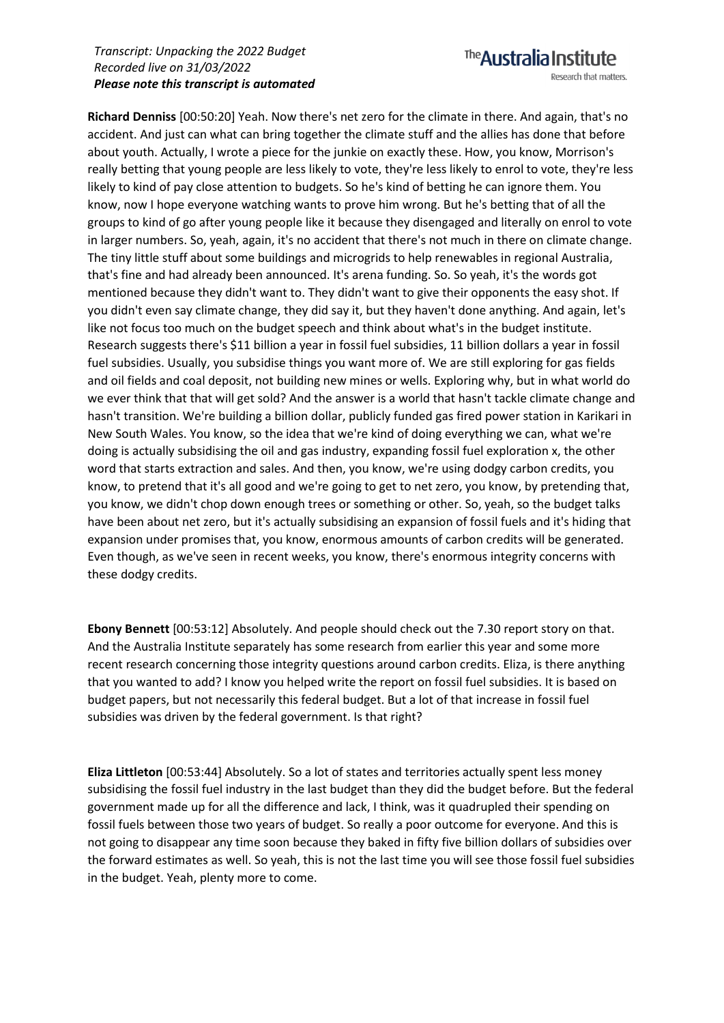The **Australia Institute** Research that matters.

**Richard Denniss** [00:50:20] Yeah. Now there's net zero for the climate in there. And again, that's no accident. And just can what can bring together the climate stuff and the allies has done that before about youth. Actually, I wrote a piece for the junkie on exactly these. How, you know, Morrison's really betting that young people are less likely to vote, they're less likely to enrol to vote, they're less likely to kind of pay close attention to budgets. So he's kind of betting he can ignore them. You know, now I hope everyone watching wants to prove him wrong. But he's betting that of all the groups to kind of go after young people like it because they disengaged and literally on enrol to vote in larger numbers. So, yeah, again, it's no accident that there's not much in there on climate change. The tiny little stuff about some buildings and microgrids to help renewables in regional Australia, that's fine and had already been announced. It's arena funding. So. So yeah, it's the words got mentioned because they didn't want to. They didn't want to give their opponents the easy shot. If you didn't even say climate change, they did say it, but they haven't done anything. And again, let's like not focus too much on the budget speech and think about what's in the budget institute. Research suggests there's \$11 billion a year in fossil fuel subsidies, 11 billion dollars a year in fossil fuel subsidies. Usually, you subsidise things you want more of. We are still exploring for gas fields and oil fields and coal deposit, not building new mines or wells. Exploring why, but in what world do we ever think that that will get sold? And the answer is a world that hasn't tackle climate change and hasn't transition. We're building a billion dollar, publicly funded gas fired power station in Karikari in New South Wales. You know, so the idea that we're kind of doing everything we can, what we're doing is actually subsidising the oil and gas industry, expanding fossil fuel exploration x, the other word that starts extraction and sales. And then, you know, we're using dodgy carbon credits, you know, to pretend that it's all good and we're going to get to net zero, you know, by pretending that, you know, we didn't chop down enough trees or something or other. So, yeah, so the budget talks have been about net zero, but it's actually subsidising an expansion of fossil fuels and it's hiding that expansion under promises that, you know, enormous amounts of carbon credits will be generated. Even though, as we've seen in recent weeks, you know, there's enormous integrity concerns with these dodgy credits.

**Ebony Bennett** [00:53:12] Absolutely. And people should check out the 7.30 report story on that. And the Australia Institute separately has some research from earlier this year and some more recent research concerning those integrity questions around carbon credits. Eliza, is there anything that you wanted to add? I know you helped write the report on fossil fuel subsidies. It is based on budget papers, but not necessarily this federal budget. But a lot of that increase in fossil fuel subsidies was driven by the federal government. Is that right?

**Eliza Littleton** [00:53:44] Absolutely. So a lot of states and territories actually spent less money subsidising the fossil fuel industry in the last budget than they did the budget before. But the federal government made up for all the difference and lack, I think, was it quadrupled their spending on fossil fuels between those two years of budget. So really a poor outcome for everyone. And this is not going to disappear any time soon because they baked in fifty five billion dollars of subsidies over the forward estimates as well. So yeah, this is not the last time you will see those fossil fuel subsidies in the budget. Yeah, plenty more to come.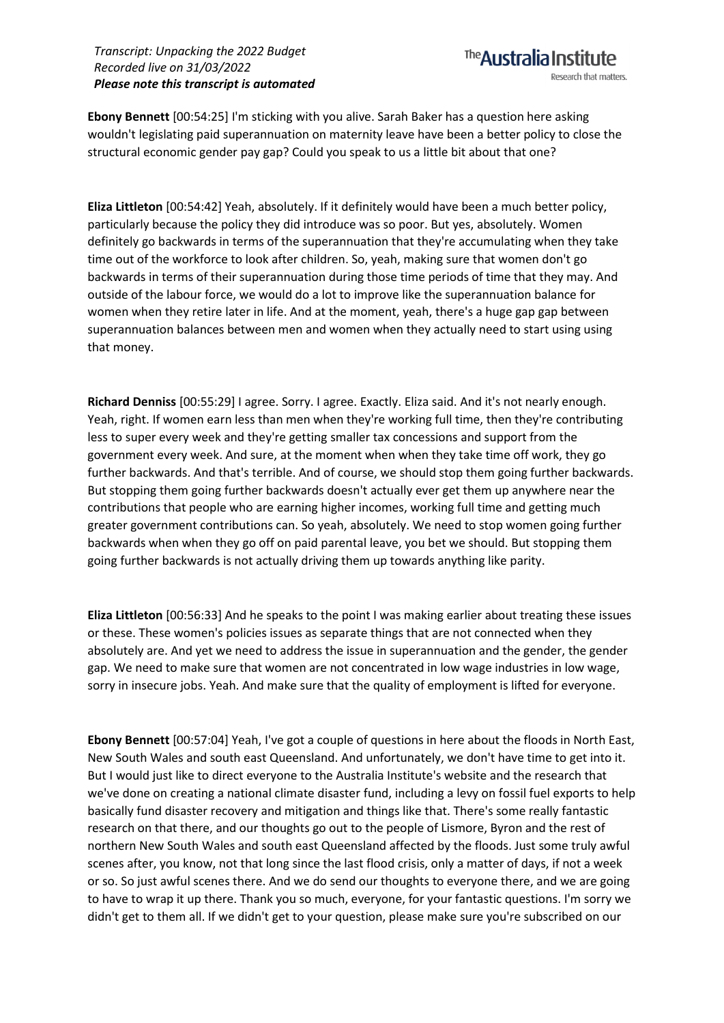**Ebony Bennett** [00:54:25] I'm sticking with you alive. Sarah Baker has a question here asking wouldn't legislating paid superannuation on maternity leave have been a better policy to close the structural economic gender pay gap? Could you speak to us a little bit about that one?

**Eliza Littleton** [00:54:42] Yeah, absolutely. If it definitely would have been a much better policy, particularly because the policy they did introduce was so poor. But yes, absolutely. Women definitely go backwards in terms of the superannuation that they're accumulating when they take time out of the workforce to look after children. So, yeah, making sure that women don't go backwards in terms of their superannuation during those time periods of time that they may. And outside of the labour force, we would do a lot to improve like the superannuation balance for women when they retire later in life. And at the moment, yeah, there's a huge gap gap between superannuation balances between men and women when they actually need to start using using that money.

**Richard Denniss** [00:55:29] I agree. Sorry. I agree. Exactly. Eliza said. And it's not nearly enough. Yeah, right. If women earn less than men when they're working full time, then they're contributing less to super every week and they're getting smaller tax concessions and support from the government every week. And sure, at the moment when when they take time off work, they go further backwards. And that's terrible. And of course, we should stop them going further backwards. But stopping them going further backwards doesn't actually ever get them up anywhere near the contributions that people who are earning higher incomes, working full time and getting much greater government contributions can. So yeah, absolutely. We need to stop women going further backwards when when they go off on paid parental leave, you bet we should. But stopping them going further backwards is not actually driving them up towards anything like parity.

**Eliza Littleton** [00:56:33] And he speaks to the point I was making earlier about treating these issues or these. These women's policies issues as separate things that are not connected when they absolutely are. And yet we need to address the issue in superannuation and the gender, the gender gap. We need to make sure that women are not concentrated in low wage industries in low wage, sorry in insecure jobs. Yeah. And make sure that the quality of employment is lifted for everyone.

**Ebony Bennett** [00:57:04] Yeah, I've got a couple of questions in here about the floods in North East, New South Wales and south east Queensland. And unfortunately, we don't have time to get into it. But I would just like to direct everyone to the Australia Institute's website and the research that we've done on creating a national climate disaster fund, including a levy on fossil fuel exports to help basically fund disaster recovery and mitigation and things like that. There's some really fantastic research on that there, and our thoughts go out to the people of Lismore, Byron and the rest of northern New South Wales and south east Queensland affected by the floods. Just some truly awful scenes after, you know, not that long since the last flood crisis, only a matter of days, if not a week or so. So just awful scenes there. And we do send our thoughts to everyone there, and we are going to have to wrap it up there. Thank you so much, everyone, for your fantastic questions. I'm sorry we didn't get to them all. If we didn't get to your question, please make sure you're subscribed on our